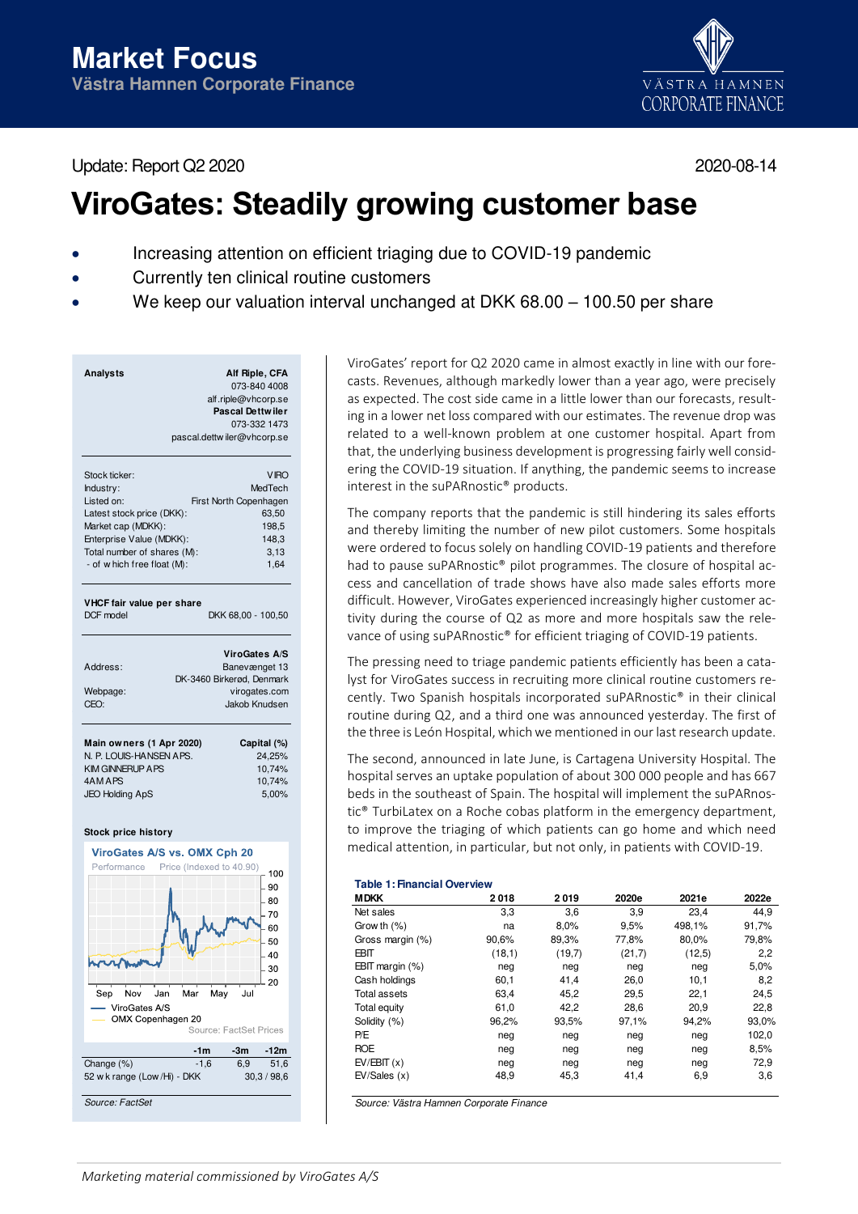Update: Report Q2 2020 2020-08-14



# **ViroGates: Steadily growing customer base**

- Increasing attention on efficient triaging due to COVID-19 pandemic
- Currently ten clinical routine customers
- We keep our valuation interval unchanged at DKK 68.00 100.50 per share

| <b>Analysts</b>                        | Alf Riple, CFA                  |
|----------------------------------------|---------------------------------|
|                                        | 073-840 4008                    |
|                                        | alf.riple@vhcorp.se             |
|                                        | <b>Pascal Dettwiler</b>         |
|                                        | 073-332 1473                    |
|                                        | pascal.dettwiler@vhcorp.se      |
| Stock ticker:                          | <b>VIRO</b>                     |
| Industry:                              | MedTech                         |
| Listed on:                             | First North Copenhagen          |
| Latest stock price (DKK):              | 63,50                           |
| Market cap (MDKK):                     | 198,5                           |
| Enterprise Value (MDKK):               | 148,3                           |
| Total number of shares (M):            | 3,13                            |
| - of w hich free float (M):            | 1,64                            |
| VHCF fair value per share<br>DCF model | DKK 68,00 - 100,50              |
|                                        | <b>ViroGates A/S</b>            |
| Address:                               | Banevænget 13                   |
|                                        | DK-3460 Birkerød, Denmark       |
| Webpage:                               | virogates.com                   |
| CEO:                                   | Jakob Knudsen                   |
| Main owners (1 Apr 2020)               | Capital (%)                     |
| N. P. LOUIS-HANSEN APS.                | 24,25%                          |
| <b>KIM GINNERUP A PS</b>               | 10,74%                          |
| 4AM APS                                | 10,74%                          |
| <b>JEO Holding ApS</b>                 | 5,00%                           |
|                                        |                                 |
| Stock price history                    |                                 |
| ViroGates A/S vs. OMX Cph 20           |                                 |
| Performance                            | Price (Indexed to 40.90)<br>100 |
|                                        | 90                              |
|                                        | 80                              |
|                                        | 70                              |
|                                        |                                 |
|                                        | 60                              |
|                                        | 50                              |
|                                        | 40                              |
|                                        | 30                              |
|                                        | 20                              |
| Jan<br>Nov<br>Mar<br>Sep               | Jul<br>May                      |

ViroGates A/S OMX Copenhagen 20 Source: EactSet Prices  **-1m -3m -12m** Change (%) -1,6 6.9 51.6 52 w k range (Low /Hi) - DKK 30,3 / 98,6 Source: FactSet

ViroGates' report for Q2 2020 came in almost exactly in line with our forecasts. Revenues, although markedly lower than a year ago, were precisely as expected. The cost side came in a little lower than our forecasts, resulting in a lower net loss compared with our estimates. The revenue drop was related to a well-known problem at one customer hospital. Apart from that, the underlying business development is progressing fairly well considering the COVID-19 situation. If anything, the pandemic seems to increase interest in the suPARnostic® products.

The company reports that the pandemic is still hindering its sales efforts and thereby limiting the number of new pilot customers. Some hospitals were ordered to focus solely on handling COVID-19 patients and therefore had to pause suPARnostic® pilot programmes. The closure of hospital access and cancellation of trade shows have also made sales efforts more difficult. However, ViroGates experienced increasingly higher customer activity during the course of Q2 as more and more hospitals saw the relevance of using suPARnostic® for efficient triaging of COVID-19 patients.

The pressing need to triage pandemic patients efficiently has been a catalyst for ViroGates success in recruiting more clinical routine customers recently. Two Spanish hospitals incorporated suPARnostic® in their clinical routine during Q2, and a third one was announced yesterday. The first of the three is León Hospital, which we mentioned in our last research update.

The second, announced in late June, is Cartagena University Hospital. The hospital serves an uptake population of about 300 000 people and has 667 beds in the southeast of Spain. The hospital will implement the suPARnostic® TurbiLatex on a Roche cobas platform in the emergency department, to improve the triaging of which patients can go home and which need medical attention, in particular, but not only, in patients with COVID-19.

# **Table 1: Financial Overview**

| <b>MDKK</b>        | 2018   | 2019   | 2020e  | 2021e  | 2022e |
|--------------------|--------|--------|--------|--------|-------|
| Net sales          | 3,3    | 3,6    | 3,9    | 23.4   | 44.9  |
| Grow th $(%)$      | na     | 8.0%   | 9,5%   | 498,1% | 91,7% |
| Gross margin (%)   | 90,6%  | 89,3%  | 77,8%  | 80,0%  | 79,8% |
| EBIT               | (18,1) | (19,7) | (21,7) | (12,5) | 2,2   |
| EBIT margin $(\%)$ | neg    | neg    | neg    | neg    | 5,0%  |
| Cash holdings      | 60,1   | 41,4   | 26,0   | 10,1   | 8,2   |
| Total assets       | 63,4   | 45,2   | 29,5   | 22,1   | 24,5  |
| Total equity       | 61,0   | 42,2   | 28,6   | 20,9   | 22,8  |
| Solidity (%)       | 96,2%  | 93,5%  | 97,1%  | 94,2%  | 93,0% |
| P/E                | neg    | neg    | neg    | neg    | 102,0 |
| <b>ROE</b>         | neg    | neg    | neg    | neg    | 8,5%  |
| EV/EBIT(x)         | neg    | neg    | neg    | neg    | 72,9  |
| EV/Sales(x)        | 48,9   | 45,3   | 41,4   | 6,9    | 3,6   |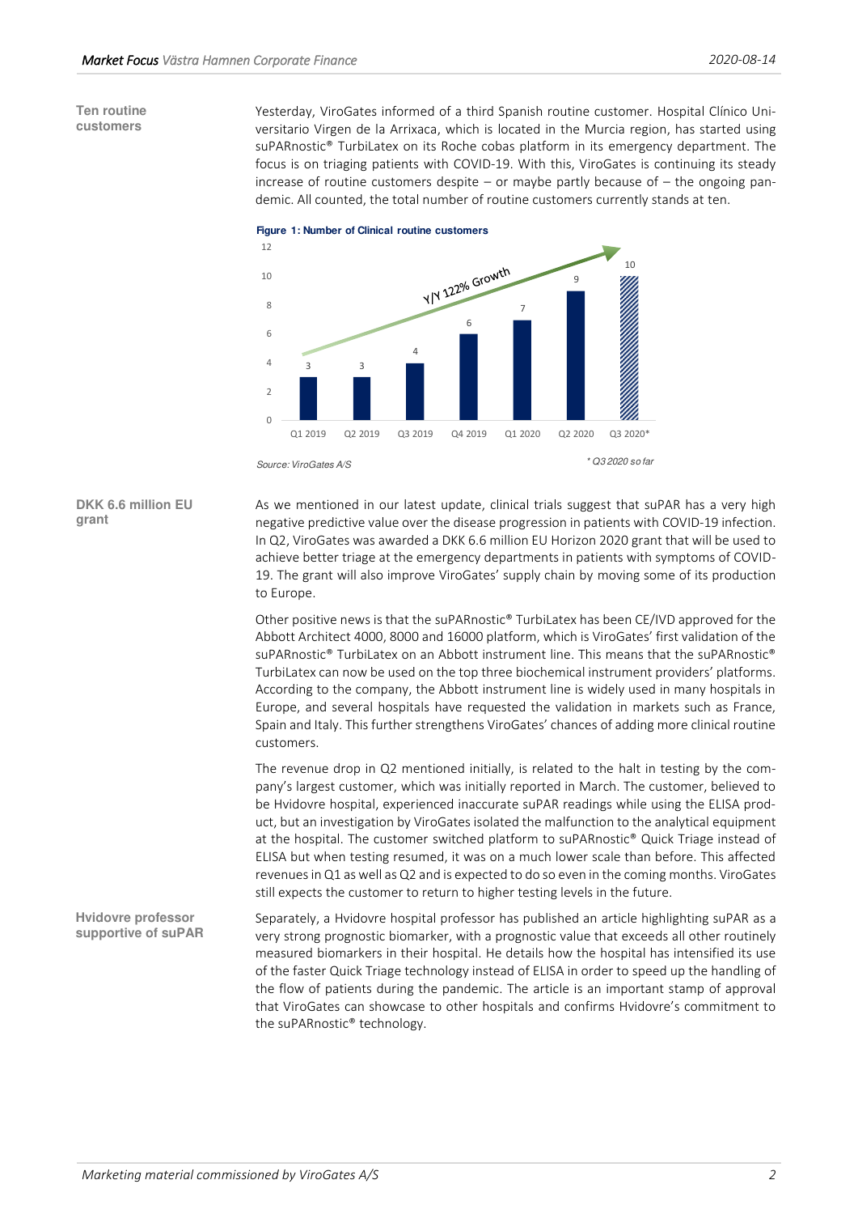# **Ten routine customers**

Yesterday, ViroGates informed of a third Spanish routine customer. Hospital Clínico Universitario Virgen de la Arrixaca, which is located in the Murcia region, has started using suPARnostic® TurbiLatex on its Roche cobas platform in its emergency department. The focus is on triaging patients with COVID-19. With this, ViroGates is continuing its steady increase of routine customers despite – or maybe partly because of  $-$  the ongoing pandemic. All counted, the total number of routine customers currently stands at ten.



**DKK 6.6 million EU grant** 

As we mentioned in our latest update, clinical trials suggest that suPAR has a very high negative predictive value over the disease progression in patients with COVID-19 infection. In Q2, ViroGates was awarded a DKK 6.6 million EU Horizon 2020 grant that will be used to achieve better triage at the emergency departments in patients with symptoms of COVID-19. The grant will also improve ViroGates' supply chain by moving some of its production to Europe.

Other positive news is that the suPARnostic® TurbiLatex has been CE/IVD approved for the Abbott Architect 4000, 8000 and 16000 platform, which is ViroGates' first validation of the suPARnostic® TurbiLatex on an Abbott instrument line. This means that the suPARnostic® TurbiLatex can now be used on the top three biochemical instrument providers' platforms. According to the company, the Abbott instrument line is widely used in many hospitals in Europe, and several hospitals have requested the validation in markets such as France, Spain and Italy. This further strengthens ViroGates' chances of adding more clinical routine customers.

The revenue drop in Q2 mentioned initially, is related to the halt in testing by the company's largest customer, which was initially reported in March. The customer, believed to be Hvidovre hospital, experienced inaccurate suPAR readings while using the ELISA product, but an investigation by ViroGates isolated the malfunction to the analytical equipment at the hospital. The customer switched platform to suPARnostic® Quick Triage instead of ELISA but when testing resumed, it was on a much lower scale than before. This affected revenues in Q1 as well as Q2 and is expected to do so even in the coming months. ViroGates still expects the customer to return to higher testing levels in the future.

Separately, a Hvidovre hospital professor has published an article highlighting suPAR as a very strong prognostic biomarker, with a prognostic value that exceeds all other routinely measured biomarkers in their hospital. He details how the hospital has intensified its use of the faster Quick Triage technology instead of ELISA in order to speed up the handling of the flow of patients during the pandemic. The article is an important stamp of approval that ViroGates can showcase to other hospitals and confirms Hvidovre's commitment to the suPARnostic® technology. **Hvidovre professor supportive of suPAR**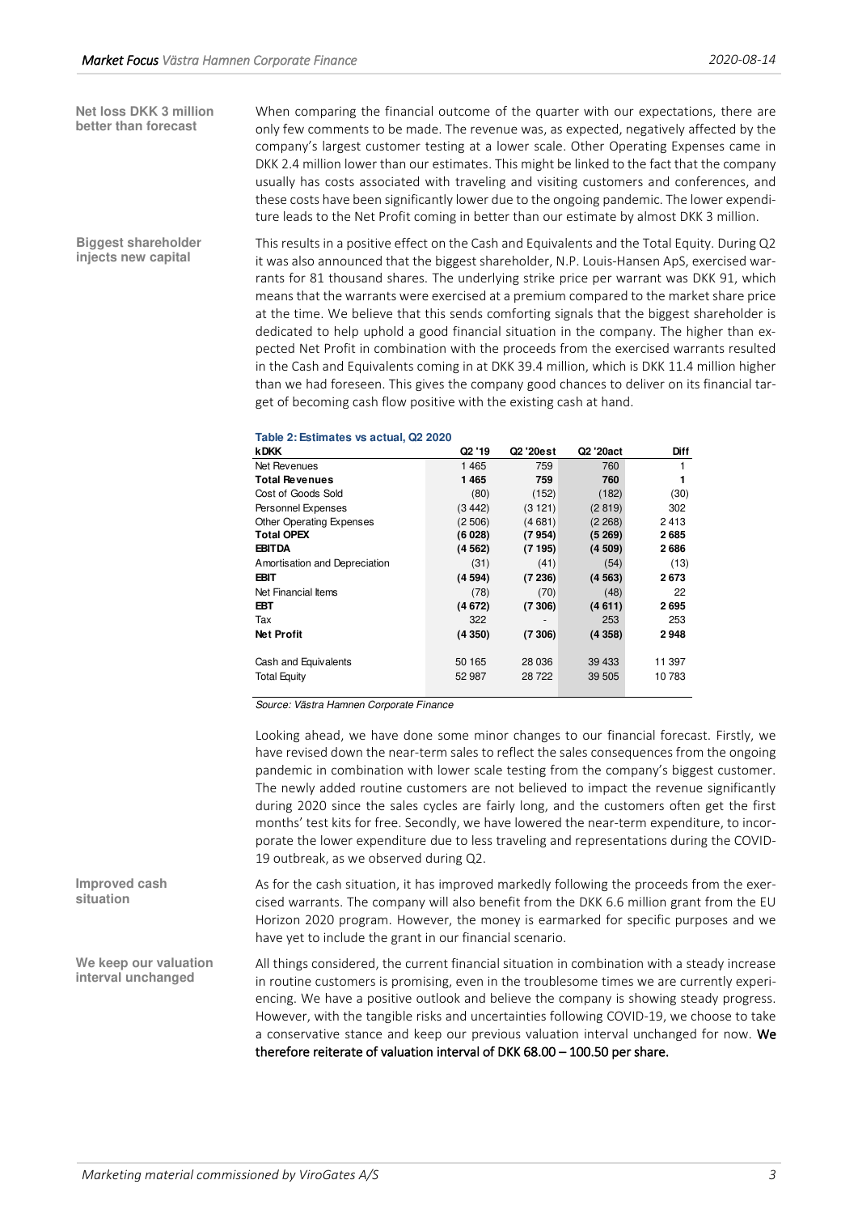**Net loss DKK 3 million better than forecast** 

When comparing the financial outcome of the quarter with our expectations, there are only few comments to be made. The revenue was, as expected, negatively affected by the company's largest customer testing at a lower scale. Other Operating Expenses came in DKK 2.4 million lower than our estimates. This might be linked to the fact that the company usually has costs associated with traveling and visiting customers and conferences, and these costs have been significantly lower due to the ongoing pandemic. The lower expenditure leads to the Net Profit coming in better than our estimate by almost DKK 3 million.

This results in a positive effect on the Cash and Equivalents and the Total Equity. During Q2 it was also announced that the biggest shareholder, N.P. Louis-Hansen ApS, exercised warrants for 81 thousand shares. The underlying strike price per warrant was DKK 91, which means that the warrants were exercised at a premium compared to the market share price at the time. We believe that this sends comforting signals that the biggest shareholder is dedicated to help uphold a good financial situation in the company. The higher than expected Net Profit in combination with the proceeds from the exercised warrants resulted in the Cash and Equivalents coming in at DKK 39.4 million, which is DKK 11.4 million higher than we had foreseen. This gives the company good chances to deliver on its financial target of becoming cash flow positive with the existing cash at hand. **Biggest shareholder injects new capital** 

| Table 2: Estimates vs actual, Q2 2020 |  |  |  |
|---------------------------------------|--|--|--|
|---------------------------------------|--|--|--|

| <b>kDKK</b>                     | Q <sub>2</sub> '19 | Q2 '20est | Q2 '20act | Diff   |
|---------------------------------|--------------------|-----------|-----------|--------|
| Net Revenues                    | 1 4 6 5            | 759       | 760       |        |
| <b>Total Revenues</b>           | 1465               | 759       | 760       |        |
| Cost of Goods Sold              | (80)               | (152)     | (182)     | (30)   |
| Personnel Expenses              | (3442)             | (3121)    | (2819)    | 302    |
| <b>Other Operating Expenses</b> | (2506)             | (4681)    | (2 268)   | 2413   |
| <b>Total OPEX</b>               | (6028)             | (7954)    | (5, 269)  | 2685   |
| <b>EBITDA</b>                   | (4562)             | (7195)    | (4509)    | 2686   |
| Amortisation and Depreciation   | (31)               | (41)      | (54)      | (13)   |
| EBIT                            | (4594)             | (7236)    | (4563)    | 2673   |
| Net Financial Items             | (78)               | (70)      | (48)      | 22     |
| EBT                             | (4672)             | (7306)    | (4611)    | 2695   |
| Tax                             | 322                |           | 253       | 253    |
| <b>Net Profit</b>               | (4350)             | (7306)    | (4358)    | 2948   |
|                                 |                    |           |           |        |
| Cash and Equivalents            | 50 165             | 28 036    | 39 433    | 11 397 |
| <b>Total Equity</b>             | 52 987             | 28 722    | 39 505    | 10 783 |
|                                 |                    |           |           |        |

Source: Västra Hamnen Corporate Finance

Looking ahead, we have done some minor changes to our financial forecast. Firstly, we have revised down the near-term sales to reflect the sales consequences from the ongoing pandemic in combination with lower scale testing from the company's biggest customer. The newly added routine customers are not believed to impact the revenue significantly during 2020 since the sales cycles are fairly long, and the customers often get the first months' test kits for free. Secondly, we have lowered the near-term expenditure, to incorporate the lower expenditure due to less traveling and representations during the COVID-19 outbreak, as we observed during Q2.

As for the cash situation, it has improved markedly following the proceeds from the exercised warrants. The company will also benefit from the DKK 6.6 million grant from the EU Horizon 2020 program. However, the money is earmarked for specific purposes and we have yet to include the grant in our financial scenario. **Improved cash** 

> All things considered, the current financial situation in combination with a steady increase in routine customers is promising, even in the troublesome times we are currently experiencing. We have a positive outlook and believe the company is showing steady progress. However, with the tangible risks and uncertainties following COVID-19, we choose to take a conservative stance and keep our previous valuation interval unchanged for now. We therefore reiterate of valuation interval of DKK 68.00 – 100.50 per share.

**We keep our valuation interval unchanged**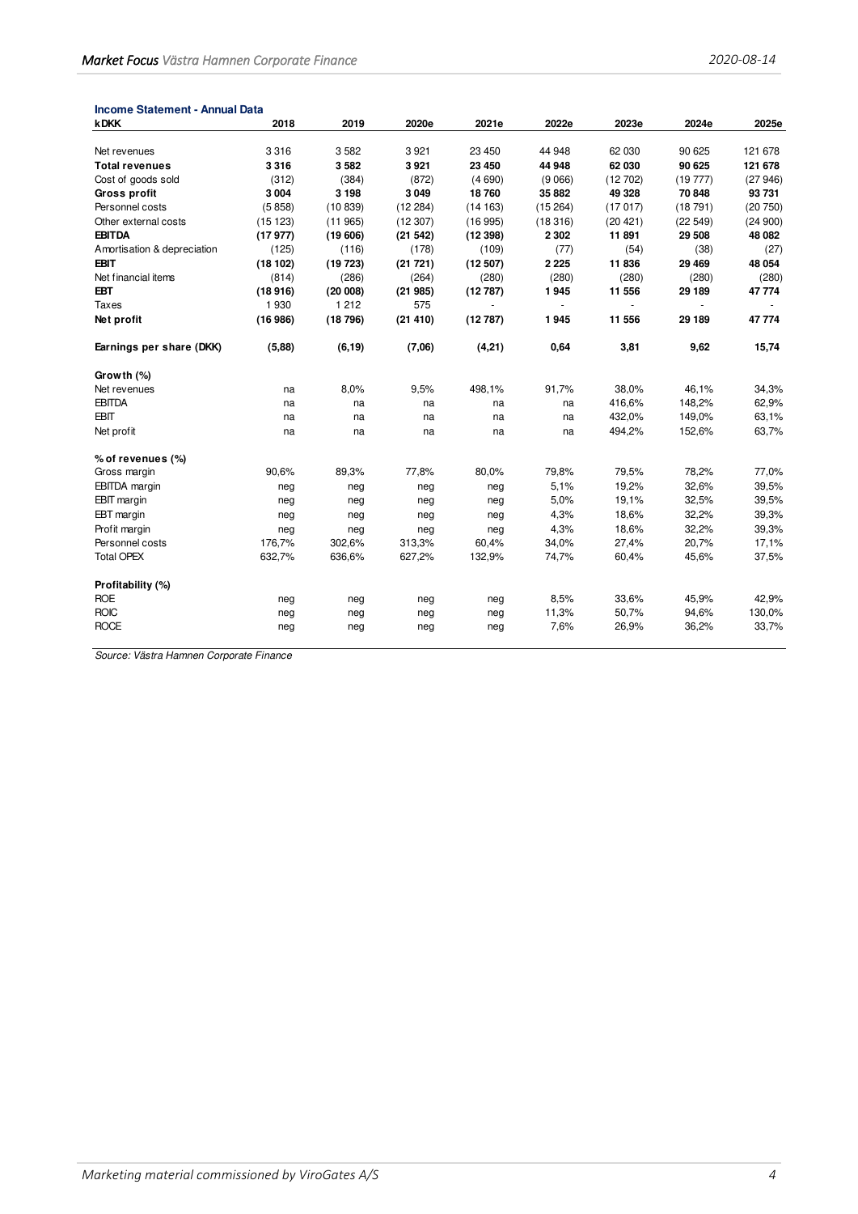| <b>Income Statement - Annual Data</b> |         |         |          |         |         |          |         |         |
|---------------------------------------|---------|---------|----------|---------|---------|----------|---------|---------|
| <b>kDKK</b>                           | 2018    | 2019    | 2020e    | 2021e   | 2022e   | 2023e    | 2024e   | 2025e   |
|                                       |         |         |          |         |         |          |         |         |
| Net revenues                          | 3316    | 3582    | 3 9 21   | 23 450  | 44 948  | 62 030   | 90 625  | 121 678 |
| <b>Total revenues</b>                 | 3316    | 3582    | 3921     | 23 450  | 44 948  | 62 030   | 90 625  | 121 678 |
| Cost of goods sold                    | (312)   | (384)   | (872)    | (4690)  | (9066)  | (12702)  | (19777) | (27946) |
| <b>Gross profit</b>                   | 3 0 0 4 | 3 1 9 8 | 3 0 4 9  | 18760   | 35 882  | 49 328   | 70 848  | 93731   |
| Personnel costs                       | (5858)  | (10839) | (12284)  | (14163) | (15264) | (17017)  | (18791) | (20750) |
| Other external costs                  | (15123) | (11965) | (12307)  | (16995) | (18316) | (20 421) | (22549) | (24900) |
| <b>EBITDA</b>                         | (17977) | (19606) | (21542)  | (12398) | 2 3 0 2 | 11891    | 29 508  | 48 082  |
| Amortisation & depreciation           | (125)   | (116)   | (178)    | (109)   | (77)    | (54)     | (38)    | (27)    |
| <b>EBIT</b>                           | (18102) | (19723) | (21 721) | (12507) | 2 2 2 5 | 11836    | 29 4 69 | 48 054  |
| Net financial items                   | (814)   | (286)   | (264)    | (280)   | (280)   | (280)    | (280)   | (280)   |
| <b>EBT</b>                            | (18916) | (20008) | (21985)  | (12787) | 1945    | 11 556   | 29 189  | 47 774  |
| <b>Taxes</b>                          | 1930    | 1 2 1 2 | 575      |         | $\sim$  |          |         |         |
| Net profit                            | (16986) | (18796) | (21410)  | (12787) | 1945    | 11 556   | 29 189  | 47 774  |
| Earnings per share (DKK)              | (5,88)  | (6, 19) | (7,06)   | (4,21)  | 0,64    | 3,81     | 9,62    | 15,74   |
| Growth (%)                            |         |         |          |         |         |          |         |         |
| Net revenues                          | na      | 8,0%    | 9,5%     | 498,1%  | 91,7%   | 38,0%    | 46,1%   | 34,3%   |
| <b>EBITDA</b>                         | na      | na      | na       | na      | na      | 416,6%   | 148,2%  | 62,9%   |
| <b>EBIT</b>                           | na      | na      | na       | na      | na      | 432,0%   | 149,0%  | 63,1%   |
| Net profit                            | na      | na      | na       | na      | na      | 494,2%   | 152,6%  | 63,7%   |
| % of revenues (%)                     |         |         |          |         |         |          |         |         |
| Gross margin                          | 90,6%   | 89,3%   | 77,8%    | 80,0%   | 79,8%   | 79,5%    | 78,2%   | 77,0%   |
| <b>EBITDA</b> margin                  | neg     | neg     | neg      | neg     | 5,1%    | 19,2%    | 32,6%   | 39,5%   |
| <b>EBIT</b> margin                    | neg     | neg     | neg      | neg     | 5,0%    | 19,1%    | 32,5%   | 39,5%   |
| EBT margin                            | neg     | neg     | neg      | neg     | 4,3%    | 18,6%    | 32,2%   | 39,3%   |
| Profit margin                         | neg     | neg     | neg      | neg     | 4,3%    | 18,6%    | 32,2%   | 39,3%   |
| Personnel costs                       | 176,7%  | 302,6%  | 313,3%   | 60,4%   | 34,0%   | 27,4%    | 20,7%   | 17,1%   |
| <b>Total OPEX</b>                     | 632,7%  | 636,6%  | 627,2%   | 132,9%  | 74,7%   | 60,4%    | 45,6%   | 37,5%   |
| Profitability (%)                     |         |         |          |         |         |          |         |         |
| <b>ROE</b>                            | neg     | neg     | neg      | neg     | 8,5%    | 33,6%    | 45,9%   | 42,9%   |
| <b>ROIC</b>                           | neg     | neg     | neg      | neg     | 11,3%   | 50,7%    | 94,6%   | 130,0%  |
| <b>ROCE</b>                           | neg     | neg     | neg      | neg     | 7,6%    | 26,9%    | 36,2%   | 33,7%   |
|                                       |         |         |          |         |         |          |         |         |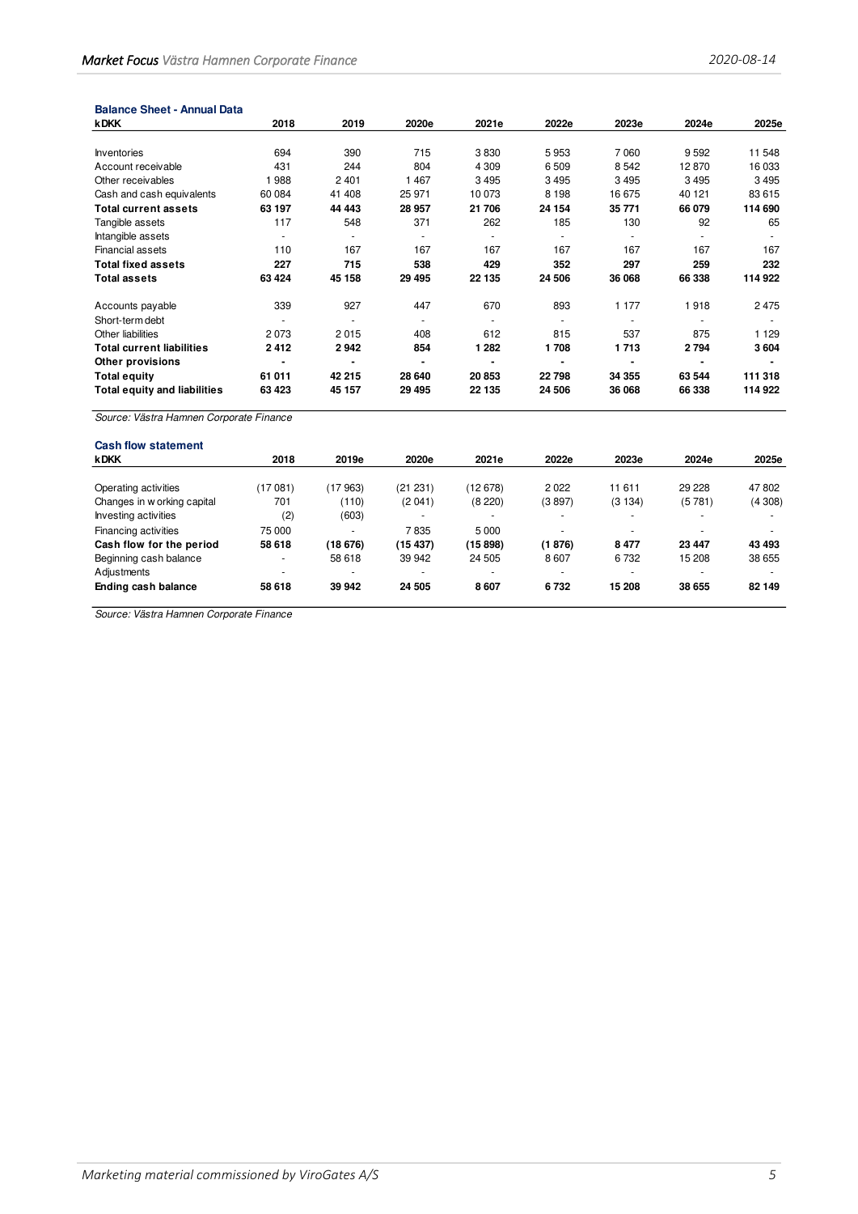#### **Balance Sheet - Annual Data**

| <b>kDKK</b>                         | 2018    | 2019    | 2020e   | 2021e          | 2022e   | 2023e   | 2024e   | 2025e   |
|-------------------------------------|---------|---------|---------|----------------|---------|---------|---------|---------|
|                                     |         |         |         |                |         |         |         |         |
| <b>Inventories</b>                  | 694     | 390     | 715     | 3830           | 5953    | 7 0 6 0 | 9 5 9 2 | 11 548  |
| Account receivable                  | 431     | 244     | 804     | 4 3 0 9        | 6 5 0 9 | 8 5 4 2 | 12870   | 16 033  |
| Other receivables                   | 988     | 2 4 0 1 | 1 4 6 7 | 3495           | 3495    | 3 4 9 5 | 3495    | 3495    |
| Cash and cash equivalents           | 60 084  | 41 408  | 25 971  | 10 073         | 8 1 9 8 | 16 675  | 40 121  | 83 615  |
| Total current assets                | 63 197  | 44 4 43 | 28 957  | 21 706         | 24 154  | 35 771  | 66 079  | 114 690 |
| Tangible assets                     | 117     | 548     | 371     | 262            | 185     | 130     | 92      | 65      |
| Intangible assets                   |         |         |         |                |         |         |         |         |
| <b>Financial assets</b>             | 110     | 167     | 167     | 167            | 167     | 167     | 167     | 167     |
| <b>Total fixed assets</b>           | 227     | 715     | 538     | 429            | 352     | 297     | 259     | 232     |
| <b>Total assets</b>                 | 63 4 24 | 45 158  | 29 4 95 | 22 135         | 24 506  | 36 068  | 66 338  | 114 922 |
| Accounts payable                    | 339     | 927     | 447     | 670            | 893     | 1 177   | 1918    | 2475    |
| Short-term debt                     |         | ٠       |         | ٠              |         | ٠       |         |         |
| Other liabilities                   | 2073    | 2015    | 408     | 612            | 815     | 537     | 875     | 1 1 2 9 |
| <b>Total current liabilities</b>    | 2412    | 2942    | 854     | 1 2 8 2        | 1708    | 1713    | 2794    | 3604    |
| Other provisions                    |         |         |         | $\blacksquare$ |         |         |         |         |
| <b>Total equity</b>                 | 61 011  | 42 215  | 28 640  | 20 853         | 22798   | 34 355  | 63 544  | 111 318 |
| <b>Total equity and liabilities</b> | 63 423  | 45 157  | 29 4 95 | 22 135         | 24 506  | 36 068  | 66 338  | 114 922 |

Source: Västra Hamnen Corporate Finance

| <b>Cash flow statement</b>  |                          |                          |          |          |          |                          |        |        |
|-----------------------------|--------------------------|--------------------------|----------|----------|----------|--------------------------|--------|--------|
| <b>kDKK</b>                 | 2018                     | 2019e                    | 2020e    | 2021e    | 2022e    | 2023e                    | 2024e  | 2025e  |
|                             |                          |                          |          |          |          |                          |        |        |
| Operating activities        | (17081)                  | (17 963)                 | (21 231) | (12 678) | 2022     | 11 611                   | 29 228 | 47 802 |
| Changes in w orking capital | 701                      | (110)                    | (2041)   | (8220)   | (3897)   | (3134)                   | (5781) | (4308) |
| Investing activities        | (2)                      | (603)                    |          |          |          | $\overline{\phantom{a}}$ |        |        |
| Financing activities        | 75 000                   | $\overline{\phantom{a}}$ | 7835     | 5 0 0 0  |          | $\overline{\phantom{a}}$ |        |        |
| Cash flow for the period    | 58 618                   | (18 676)                 | (15437)  | (15898)  | (1876)   | 8477                     | 23 447 | 43 493 |
| Beginning cash balance      | ٠                        | 58 618                   | 39 942   | 24 505   | 8607     | 6732                     | 15 208 | 38 655 |
| Adjustments                 | $\overline{\phantom{a}}$ | $\overline{\phantom{a}}$ |          | ۰        | <b>1</b> | $\overline{\phantom{a}}$ |        |        |
| Ending cash balance         | 58 618                   | 39 942                   | 24 505   | 8607     | 6732     | 15 208                   | 38 655 | 82 149 |
|                             |                          |                          |          |          |          |                          |        |        |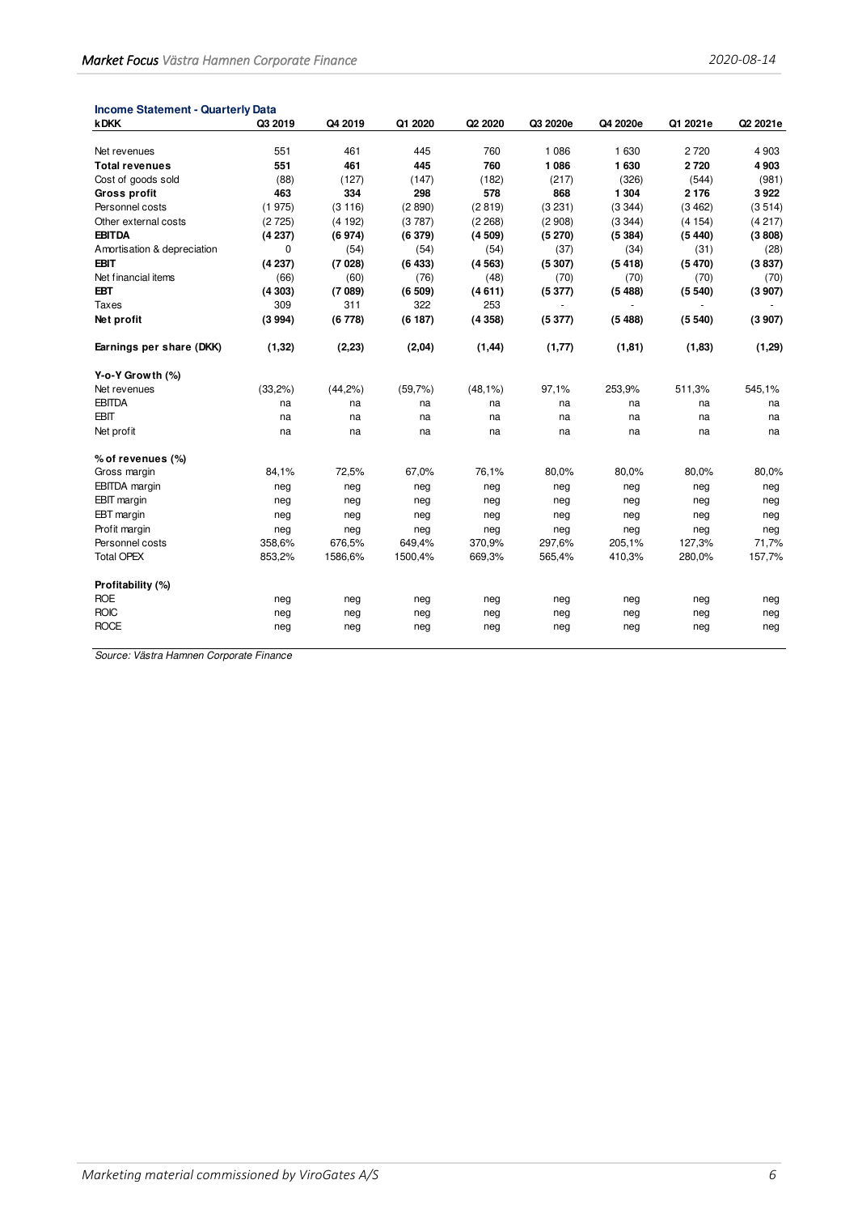| <b>Income Statement - Quarterly Data</b> |         |         |         |            |          |          |          |          |
|------------------------------------------|---------|---------|---------|------------|----------|----------|----------|----------|
| <b>kDKK</b>                              | Q3 2019 | Q4 2019 | Q1 2020 | Q2 2020    | Q3 2020e | Q4 2020e | Q1 2021e | Q2 2021e |
| Net revenues                             | 551     | 461     | 445     | 760        | 1 0 8 6  | 1 6 3 0  | 2720     | 4 9 0 3  |
| <b>Total revenues</b>                    | 551     | 461     | 445     | 760        | 1 0 8 6  | 1630     | 2720     | 4903     |
| Cost of goods sold                       | (88)    | (127)   | (147)   | (182)      | (217)    | (326)    | (544)    | (981)    |
| <b>Gross profit</b>                      | 463     | 334     | 298     | 578        | 868      | 1 3 0 4  | 2 1 7 6  | 3922     |
| Personnel costs                          | (1975)  | (3116)  | (2890)  | (2819)     | (3 231)  | (3344)   | (3462)   | (3514)   |
| Other external costs                     | (2725)  | (4192)  | (3787)  | (2 268)    | (2908)   | (3344)   | (4154)   | (4217)   |
| <b>EBITDA</b>                            | (4237)  | (6974)  | (6379)  | (4509)     | (5270)   | (5384)   | (5440)   | (3808)   |
| Amortisation & depreciation              | 0       | (54)    | (54)    | (54)       | (37)     | (34)     | (31)     | (28)     |
| <b>EBIT</b>                              | (4237)  | (7028)  | (6433)  | (4563)     | (5307)   | (5418)   | (5470)   | (3837)   |
| Net financial items                      | (66)    | (60)    | (76)    | (48)       | (70)     | (70)     | (70)     | (70)     |
| <b>EBT</b>                               | (4303)  | (7089)  | (6509)  | (4611)     | (5377)   | (5488)   | (5540)   | (3907)   |
| <b>Taxes</b>                             | 309     | 311     | 322     | 253        |          |          |          |          |
| Net profit                               | (3994)  | (6778)  | (6187)  | (4358)     | (5377)   | (5488)   | (5540)   | (3907)   |
| Earnings per share (DKK)                 | (1, 32) | (2, 23) | (2,04)  | (1, 44)    | (1, 77)  | (1, 81)  | (1, 83)  | (1, 29)  |
| Y-o-Y Growth (%)                         |         |         |         |            |          |          |          |          |
| Net revenues                             | (33,2%) | (44,2%) | (59,7%) | $(48,1\%)$ | 97,1%    | 253,9%   | 511,3%   | 545,1%   |
| <b>EBITDA</b>                            | na      | na      | na      | na         | na       | na       | na       | na       |
| EBIT                                     | na      | na      | na      | na         | na       | na       | na       | na       |
| Net profit                               | na      | na      | na      | na         | na       | na       | na       | na       |
| % of revenues (%)                        |         |         |         |            |          |          |          |          |
| Gross margin                             | 84,1%   | 72,5%   | 67,0%   | 76,1%      | 80,0%    | 80,0%    | 80,0%    | 80,0%    |
| <b>EBITDA</b> margin                     | neg     | neg     | neg     | neg        | neg      | neg      | neg      | neg      |
| <b>EBIT</b> margin                       | neg     | neg     | neg     | neg        | neg      | neg      | neg      | neg      |
| EBT margin                               | neg     | neg     | neg     | neg        | neg      | neg      | neg      | neg      |
| Profit margin                            | neg     | neg     | neg     | neg        | neg      | neg      | neg      | neg      |
| Personnel costs                          | 358,6%  | 676,5%  | 649,4%  | 370,9%     | 297,6%   | 205,1%   | 127,3%   | 71,7%    |
| <b>Total OPEX</b>                        | 853,2%  | 1586,6% | 1500,4% | 669,3%     | 565,4%   | 410,3%   | 280,0%   | 157,7%   |
| Profitability (%)                        |         |         |         |            |          |          |          |          |
| <b>ROE</b>                               | neg     | neg     | neg     | neg        | neg      | neg      | neg      | neg      |
| <b>ROIC</b>                              | neg     | neg     | neg     | neg        | neg      | neg      | neg      | neg      |
| <b>ROCE</b>                              | neg     | neg     | neg     | neg        | neg      | neg      | neg      | neg      |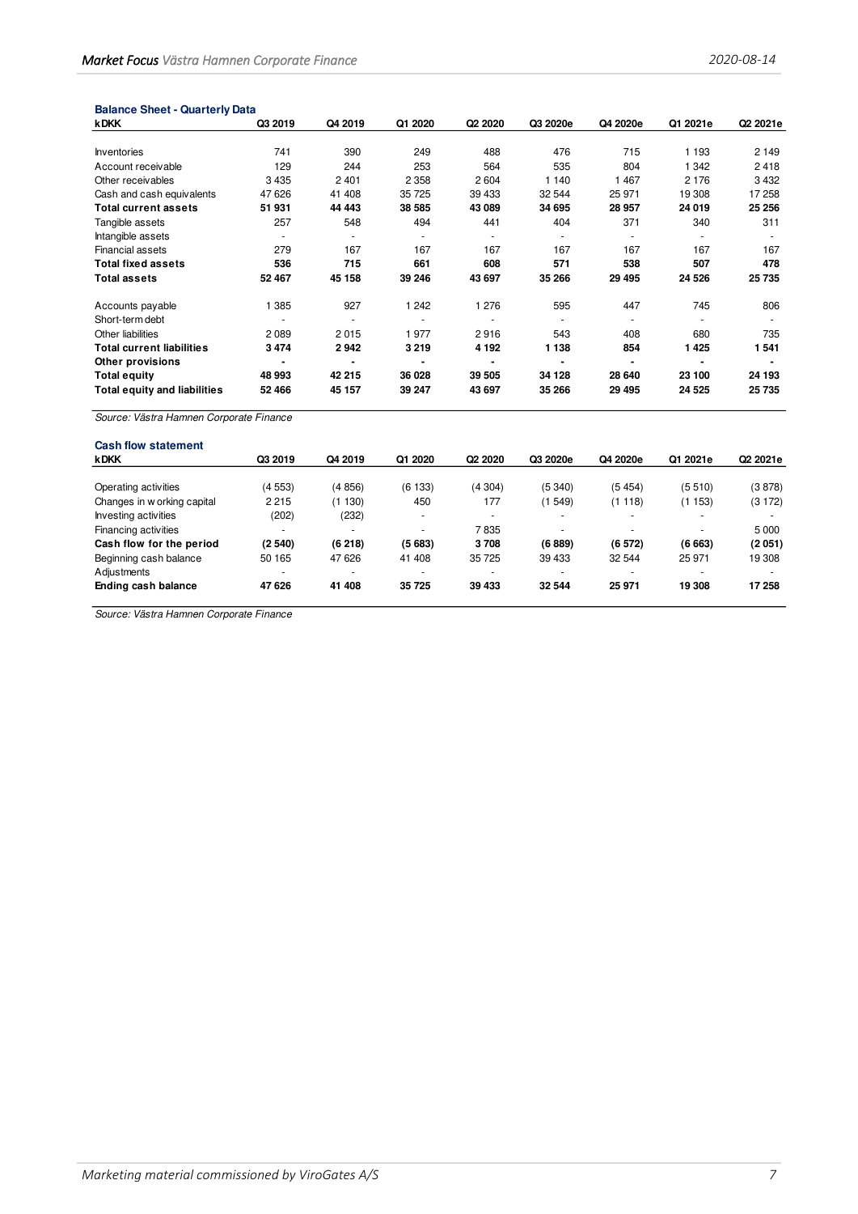# **Balance Sheet - Quarterly Data**

| <b>kDKK</b>                         | Q3 2019 | Q4 2019                  | Q1 2020 | Q <sub>2</sub> 2020 | Q3 2020e | Q4 2020e | Q1 2021e | Q2 2021e |
|-------------------------------------|---------|--------------------------|---------|---------------------|----------|----------|----------|----------|
|                                     |         |                          |         |                     |          |          |          |          |
| Inventories                         | 741     | 390                      | 249     | 488                 | 476      | 715      | 1 1 9 3  | 2 1 4 9  |
| Account receivable                  | 129     | 244                      | 253     | 564                 | 535      | 804      | 1 342    | 2418     |
| Other receivables                   | 3 4 3 5 | 2401                     | 2 3 5 8 | 2604                | 1 140    | 1 4 6 7  | 2 1 7 6  | 3432     |
| Cash and cash equivalents           | 47 626  | 41 408                   | 35 725  | 39 433              | 32 544   | 25 971   | 19 308   | 17 258   |
| <b>Total current assets</b>         | 51 931  | 44 443                   | 38 585  | 43 089              | 34 695   | 28 957   | 24 019   | 25 25 6  |
| Tangible assets                     | 257     | 548                      | 494     | 441                 | 404      | 371      | 340      | 311      |
| Intangible assets                   |         |                          |         | ٠                   |          |          |          |          |
| Financial assets                    | 279     | 167                      | 167     | 167                 | 167      | 167      | 167      | 167      |
| <b>Total fixed assets</b>           | 536     | 715                      | 661     | 608                 | 571      | 538      | 507      | 478      |
| <b>Total assets</b>                 | 52 467  | 45 158                   | 39 246  | 43 697              | 35 266   | 29 4 95  | 24 5 26  | 25735    |
| Accounts payable                    | 1 3 8 5 | 927                      | 1 2 4 2 | 1 2 7 6             | 595      | 447      | 745      | 806      |
| Short-term debt                     |         | $\overline{\phantom{a}}$ |         |                     |          |          |          |          |
| Other liabilities                   | 2089    | 2015                     | 1977    | 2916                | 543      | 408      | 680      | 735      |
| <b>Total current liabilities</b>    | 3474    | 2942                     | 3 2 1 9 | 4 1 9 2             | 1 1 3 8  | 854      | 1425     | 1541     |
| <b>Other provisions</b>             |         | $\blacksquare$           |         | ٠                   |          |          |          |          |
| <b>Total equity</b>                 | 48 993  | 42 215                   | 36 028  | 39 505              | 34 128   | 28 640   | 23 100   | 24 193   |
| <b>Total equity and liabilities</b> | 52 466  | 45 157                   | 39 247  | 43 697              | 35 266   | 29 4 95  | 24 5 25  | 25735    |

Source: Västra Hamnen Corporate Finance

| <b>Cash flow statement</b>  |                          |                          |          |                          |                          |                          |          |          |
|-----------------------------|--------------------------|--------------------------|----------|--------------------------|--------------------------|--------------------------|----------|----------|
| <b>kDKK</b>                 | Q3 2019                  | Q4 2019                  | Q1 2020  | Q <sub>2</sub> 2020      | Q3 2020e                 | Q4 2020e                 | Q1 2021e | Q2 2021e |
|                             |                          |                          |          |                          |                          |                          |          |          |
| Operating activities        | (4553)                   | (4856)                   | (6133)   | (4304)                   | (5340)                   | (5454)                   | (5510)   | (3878)   |
| Changes in w orking capital | 2 2 1 5                  | 130)                     | 450      | 177                      | (1 549)                  | (1118)                   | (1 153)  | (3172)   |
| Investing activities        | (202)                    | (232)                    | <b>.</b> | $\overline{\phantom{0}}$ | $\overline{\phantom{0}}$ | $\overline{\phantom{a}}$ | -        |          |
| Financing activities        | $\overline{\phantom{a}}$ | $\overline{\phantom{0}}$ |          | 7835                     | $\overline{\phantom{0}}$ | ۰                        |          | 5 0 0 0  |
| Cash flow for the period    | (2540)                   | (6218)                   | (5683)   | 3708                     | (6889)                   | (6572)                   | (6663)   | (2051)   |
| Beginning cash balance      | 50 165                   | 47 626                   | 41 408   | 35 725                   | 39 433                   | 32 544                   | 25 971   | 19 308   |
| Adjustments                 | $\overline{\phantom{a}}$ |                          |          |                          |                          |                          |          |          |
| Ending cash balance         | 47 626                   | 41 408                   | 35725    | 39 433                   | 32 544                   | 25 971                   | 19 308   | 17 258   |